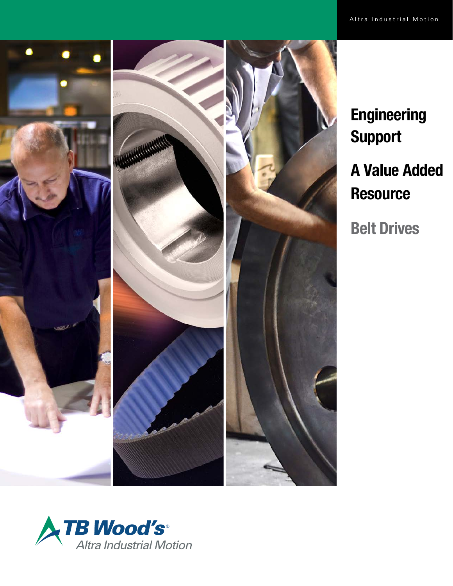

**Engineering** Support A Value Added **Resource** Belt Drives

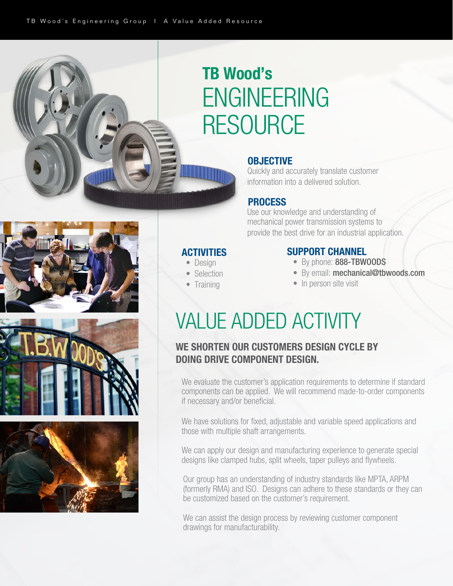i

**ACTIVITIES**  • Design • Selection • Training

# TB Wood's ENGINEERING RESOURCE

### **OBJECTIVE**

 Quickly and accurately translate customer information into a delivered solution.

## PROCESS

 Use our knowledge and understanding of mechanical power transmission systems to provide the best drive for an industrial application.

## SUPPORT CHANNEL

- By phone: 888-TBWOODS
- By email: mechanical@tbwoods.com
- In person site visit

## VALUE ADDED ACTIVITY

## WE SHORTEN OUR CUSTOMERS DESIGN CYCLE BY DOING DRIVE COMPONENT DESIGN.

We evaluate the customer's application requirements to determine if standard components can be applied. We will recommend made-to-order components if necessary and/or beneficial.

We have solutions for fixed, adjustable and variable speed applications and those with multiple shaft arrangements.

We can apply our design and manufacturing experience to generate special designs like clamped hubs, split wheels, taper pulleys and flywheels.

Our group has an understanding of industry standards like MPTA, ARPM (formerly RMA) and ISO. Designs can adhere to these standards or they can be customized based on the customer's requirement.

We can assist the design process by reviewing customer component drawings for manufacturability.





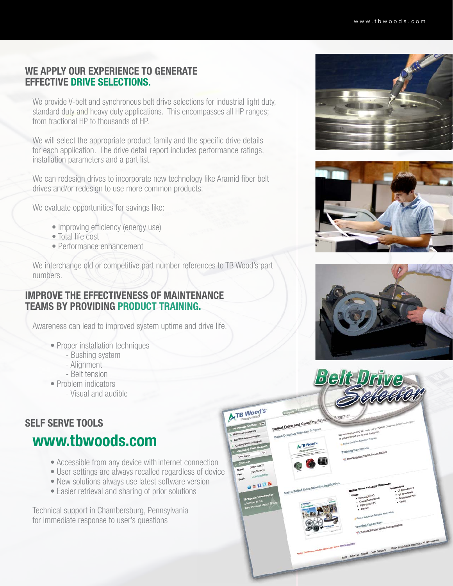## WE APPLY OUR EXPERIENCE TO GENERATE EFFECTIVE DRIVE SELECTIONS.

We provide V-belt and synchronous belt drive selections for industrial light duty, standard duty and heavy duty applications. This encompasses all HP ranges; from fractional HP to thousands of HP.

We will select the appropriate product family and the specific drive details for each application. The drive detail report includes performance ratings, installation parameters and a part list.

We can redesign drives to incorporate new technology like Aramid fiber belt drives and/or redesign to use more common products.

We evaluate opportunities for savings like:

- Improving efficiency (energy use)
- Total life cost
- Performance enhancement

We interchange old or competitive part number references to TB Wood's part numbers.

## IMPROVE THE EFFECTIVENESS OF MAINTENANCE TEAMS BY PROVIDING PRODUCT TRAINING.

Awareness can lead to improved system uptime and drive life.

- Proper installation techniques
	- Bushing system
	- Alignment
	- Belt tension
- Problem indicators
	- Visual and audible

### SELF SERVE TOOLS

## www.tbwoods.com

- Accessible from any device with internet connection
- User settings are always recalled regardless of device
- New solutions always use latest software version
- Easier retrieval and sharing of prior solutions

Technical support in Chambersburg, Pennsylvania for immediate response to user's questions







BQKN

**B** Wood's

**95008**